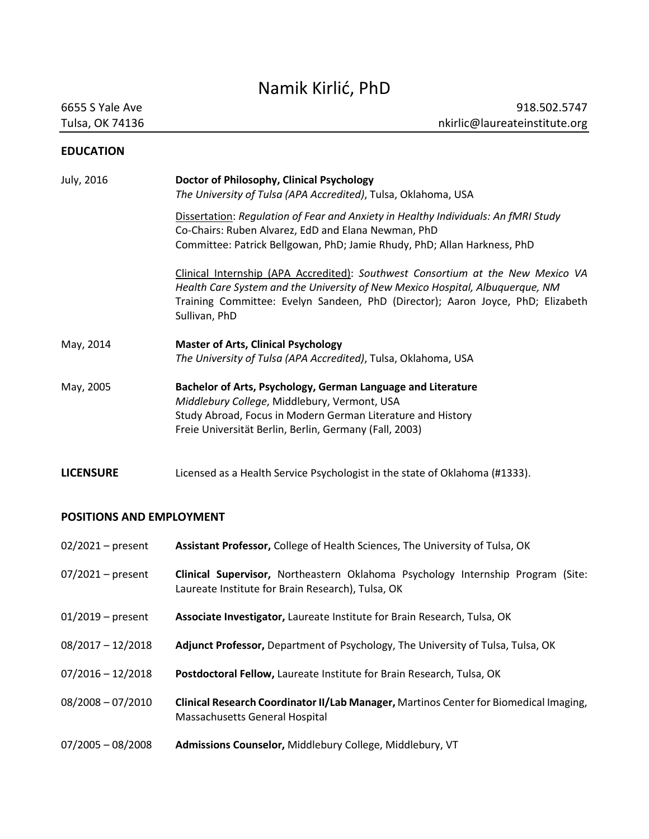# Namik Kirlić, PhD

## **EDUCATION**

| July, 2016       | Doctor of Philosophy, Clinical Psychology<br>The University of Tulsa (APA Accredited), Tulsa, Oklahoma, USA                                                                                                                                                          |
|------------------|----------------------------------------------------------------------------------------------------------------------------------------------------------------------------------------------------------------------------------------------------------------------|
|                  | Dissertation: Regulation of Fear and Anxiety in Healthy Individuals: An fMRI Study<br>Co-Chairs: Ruben Alvarez, EdD and Elana Newman, PhD<br>Committee: Patrick Bellgowan, PhD; Jamie Rhudy, PhD; Allan Harkness, PhD                                                |
|                  | Clinical Internship (APA Accredited): Southwest Consortium at the New Mexico VA<br>Health Care System and the University of New Mexico Hospital, Albuquerque, NM<br>Training Committee: Evelyn Sandeen, PhD (Director); Aaron Joyce, PhD; Elizabeth<br>Sullivan, PhD |
| May, 2014        | <b>Master of Arts, Clinical Psychology</b><br>The University of Tulsa (APA Accredited), Tulsa, Oklahoma, USA                                                                                                                                                         |
| May, 2005        | Bachelor of Arts, Psychology, German Language and Literature<br>Middlebury College, Middlebury, Vermont, USA<br>Study Abroad, Focus in Modern German Literature and History<br>Freie Universität Berlin, Berlin, Germany (Fall, 2003)                                |
| <b>LICENSURE</b> | Licensed as a Health Service Psychologist in the state of Oklahoma (#1333).                                                                                                                                                                                          |

# **POSITIONS AND EMPLOYMENT**

| $02/2021$ – present | Assistant Professor, College of Health Sciences, The University of Tulsa, OK                                                         |
|---------------------|--------------------------------------------------------------------------------------------------------------------------------------|
| $07/2021$ – present | Clinical Supervisor, Northeastern Oklahoma Psychology Internship Program (Site:<br>Laureate Institute for Brain Research), Tulsa, OK |
| $01/2019$ – present | Associate Investigator, Laureate Institute for Brain Research, Tulsa, OK                                                             |
| $08/2017 - 12/2018$ | Adjunct Professor, Department of Psychology, The University of Tulsa, Tulsa, OK                                                      |
| $07/2016 - 12/2018$ | Postdoctoral Fellow, Laureate Institute for Brain Research, Tulsa, OK                                                                |
| $08/2008 - 07/2010$ | Clinical Research Coordinator II/Lab Manager, Martinos Center for Biomedical Imaging,<br>Massachusetts General Hospital              |
| $07/2005 - 08/2008$ | Admissions Counselor, Middlebury College, Middlebury, VT                                                                             |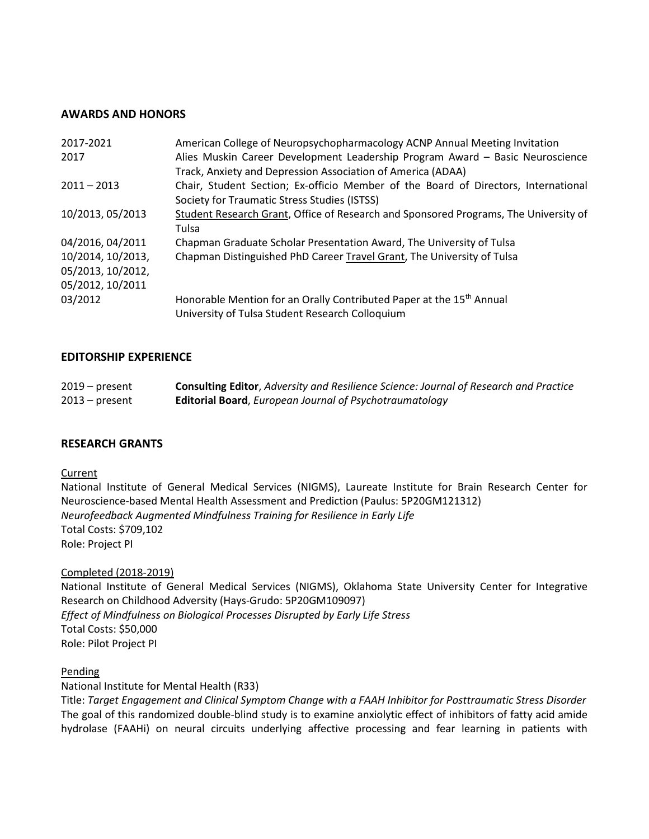#### **AWARDS AND HONORS**

| Alies Muskin Career Development Leadership Program Award - Basic Neuroscience        |
|--------------------------------------------------------------------------------------|
|                                                                                      |
| Chair, Student Section; Ex-officio Member of the Board of Directors, International   |
|                                                                                      |
| Student Research Grant, Office of Research and Sponsored Programs, The University of |
|                                                                                      |
|                                                                                      |
|                                                                                      |
|                                                                                      |
|                                                                                      |
|                                                                                      |
|                                                                                      |
|                                                                                      |

#### **EDITORSHIP EXPERIENCE**

| $2019$ – present | <b>Consulting Editor, Adversity and Resilience Science: Journal of Research and Practice</b> |
|------------------|----------------------------------------------------------------------------------------------|
| $2013$ – present | <b>Editorial Board, European Journal of Psychotraumatology</b>                               |

#### **RESEARCH GRANTS**

#### **Current**

National Institute of General Medical Services (NIGMS), Laureate Institute for Brain Research Center for Neuroscience-based Mental Health Assessment and Prediction (Paulus: 5P20GM121312) *Neurofeedback Augmented Mindfulness Training for Resilience in Early Life* Total Costs: \$709,102 Role: Project PI

Completed (2018-2019)

National Institute of General Medical Services (NIGMS), Oklahoma State University Center for Integrative Research on Childhood Adversity (Hays-Grudo: 5P20GM109097) *Effect of Mindfulness on Biological Processes Disrupted by Early Life Stress* Total Costs: \$50,000 Role: Pilot Project PI

#### Pending

National Institute for Mental Health (R33)

Title: *Target Engagement and Clinical Symptom Change with a FAAH Inhibitor for Posttraumatic Stress Disorder* The goal of this randomized double-blind study is to examine anxiolytic effect of inhibitors of fatty acid amide hydrolase (FAAHi) on neural circuits underlying affective processing and fear learning in patients with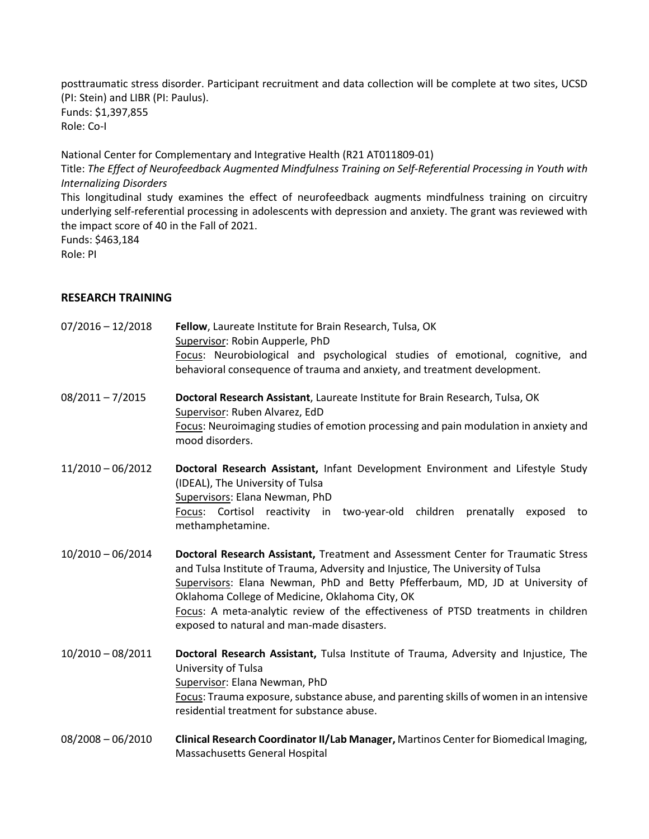posttraumatic stress disorder. Participant recruitment and data collection will be complete at two sites, UCSD (PI: Stein) and LIBR (PI: Paulus). Funds: \$1,397,855 Role: Co-I

National Center for Complementary and Integrative Health (R21 AT011809-01) Title: *The Effect of Neurofeedback Augmented Mindfulness Training on Self-Referential Processing in Youth with Internalizing Disorders* This longitudinal study examines the effect of neurofeedback augments mindfulness training on circuitry underlying self-referential processing in adolescents with depression and anxiety. The grant was reviewed with the impact score of 40 in the Fall of 2021. Funds: \$463,184

Role: PI

## **RESEARCH TRAINING**

| $07/2016 - 12/2018$ | Fellow, Laureate Institute for Brain Research, Tulsa, OK<br>Supervisor: Robin Aupperle, PhD<br>Focus: Neurobiological and psychological studies of emotional, cognitive, and<br>behavioral consequence of trauma and anxiety, and treatment development.                                                                                                                                                                                    |
|---------------------|---------------------------------------------------------------------------------------------------------------------------------------------------------------------------------------------------------------------------------------------------------------------------------------------------------------------------------------------------------------------------------------------------------------------------------------------|
| $08/2011 - 7/2015$  | Doctoral Research Assistant, Laureate Institute for Brain Research, Tulsa, OK<br>Supervisor: Ruben Alvarez, EdD<br>Focus: Neuroimaging studies of emotion processing and pain modulation in anxiety and<br>mood disorders.                                                                                                                                                                                                                  |
| $11/2010 - 06/2012$ | Doctoral Research Assistant, Infant Development Environment and Lifestyle Study<br>(IDEAL), The University of Tulsa<br>Supervisors: Elana Newman, PhD<br>Focus: Cortisol reactivity in two-year-old children prenatally<br>exposed<br>to<br>methamphetamine.                                                                                                                                                                                |
| $10/2010 - 06/2014$ | Doctoral Research Assistant, Treatment and Assessment Center for Traumatic Stress<br>and Tulsa Institute of Trauma, Adversity and Injustice, The University of Tulsa<br>Supervisors: Elana Newman, PhD and Betty Pfefferbaum, MD, JD at University of<br>Oklahoma College of Medicine, Oklahoma City, OK<br>Focus: A meta-analytic review of the effectiveness of PTSD treatments in children<br>exposed to natural and man-made disasters. |
| 10/2010 - 08/2011   | Doctoral Research Assistant, Tulsa Institute of Trauma, Adversity and Injustice, The<br>University of Tulsa<br>Supervisor: Elana Newman, PhD<br>Focus: Trauma exposure, substance abuse, and parenting skills of women in an intensive<br>residential treatment for substance abuse.                                                                                                                                                        |
| $08/2008 - 06/2010$ | Clinical Research Coordinator II/Lab Manager, Martinos Center for Biomedical Imaging,<br>Massachusetts General Hospital                                                                                                                                                                                                                                                                                                                     |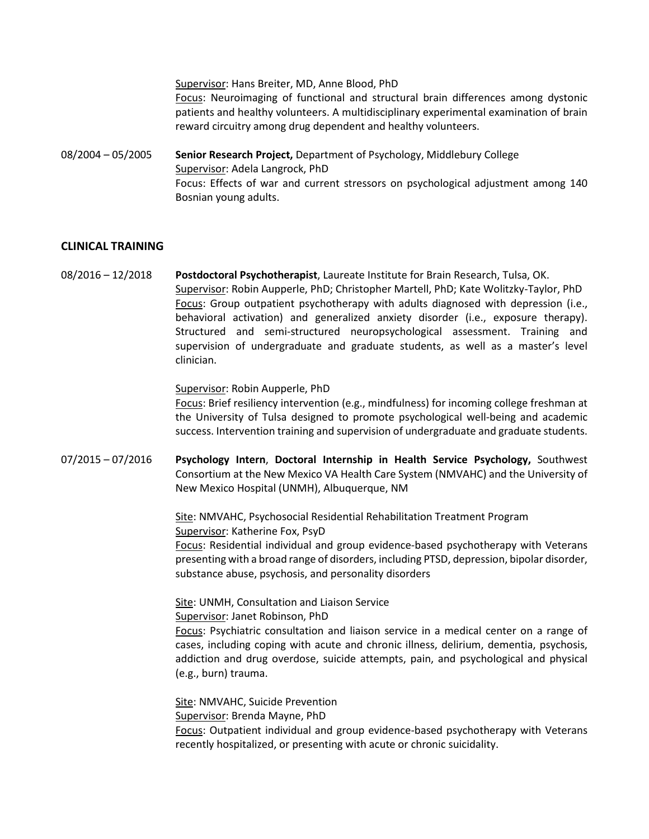Supervisor: Hans Breiter, MD, Anne Blood, PhD Focus: Neuroimaging of functional and structural brain differences among dystonic patients and healthy volunteers. A multidisciplinary experimental examination of brain reward circuitry among drug dependent and healthy volunteers.

08/2004 – 05/2005 **Senior Research Project,** Department of Psychology, Middlebury College Supervisor: Adela Langrock, PhD Focus: Effects of war and current stressors on psychological adjustment among 140 Bosnian young adults.

#### **CLINICAL TRAINING**

08/2016 – 12/2018 **Postdoctoral Psychotherapist**, Laureate Institute for Brain Research, Tulsa, OK. Supervisor: Robin Aupperle, PhD; Christopher Martell, PhD; Kate Wolitzky-Taylor, PhD Focus: Group outpatient psychotherapy with adults diagnosed with depression (i.e., behavioral activation) and generalized anxiety disorder (i.e., exposure therapy). Structured and semi-structured neuropsychological assessment. Training and supervision of undergraduate and graduate students, as well as a master's level clinician.

Supervisor: Robin Aupperle, PhD

Focus: Brief resiliency intervention (e.g., mindfulness) for incoming college freshman at the University of Tulsa designed to promote psychological well-being and academic success. Intervention training and supervision of undergraduate and graduate students.

07/2015 – 07/2016 **Psychology Intern**, **Doctoral Internship in Health Service Psychology,** Southwest Consortium at the New Mexico VA Health Care System (NMVAHC) and the University of New Mexico Hospital (UNMH), Albuquerque, NM

> Site: NMVAHC, Psychosocial Residential Rehabilitation Treatment Program Supervisor: Katherine Fox, PsyD

Focus: Residential individual and group evidence-based psychotherapy with Veterans presenting with a broad range of disorders, including PTSD, depression, bipolar disorder, substance abuse, psychosis, and personality disorders

Site: UNMH, Consultation and Liaison Service Supervisor: Janet Robinson, PhD

Focus: Psychiatric consultation and liaison service in a medical center on a range of cases, including coping with acute and chronic illness, delirium, dementia, psychosis, addiction and drug overdose, suicide attempts, pain, and psychological and physical (e.g., burn) trauma.

Site: NMVAHC, Suicide Prevention

Supervisor: Brenda Mayne, PhD

Focus: Outpatient individual and group evidence-based psychotherapy with Veterans recently hospitalized, or presenting with acute or chronic suicidality.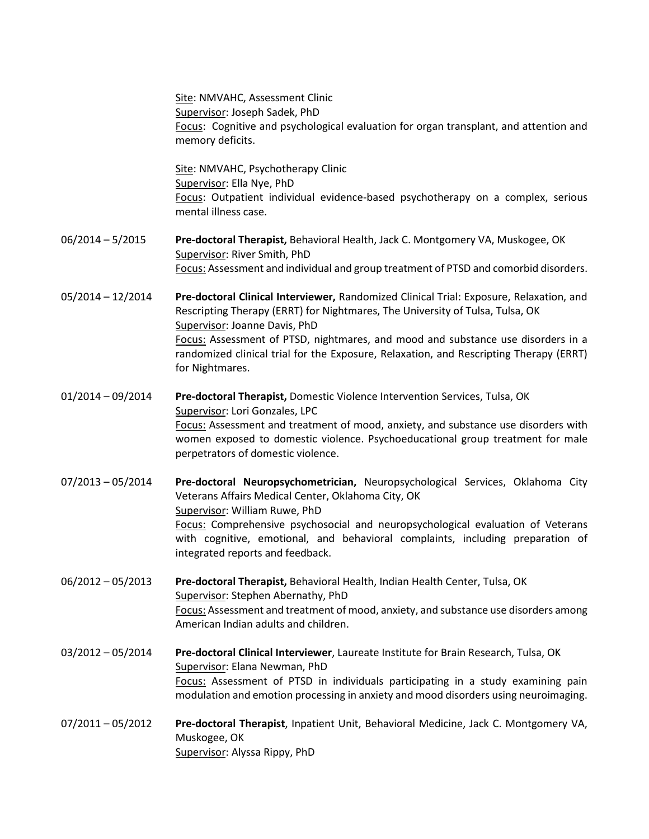|                     | Site: NMVAHC, Assessment Clinic<br>Supervisor: Joseph Sadek, PhD<br>Focus: Cognitive and psychological evaluation for organ transplant, and attention and<br>memory deficits.                                                                                                                                                                                                                              |
|---------------------|------------------------------------------------------------------------------------------------------------------------------------------------------------------------------------------------------------------------------------------------------------------------------------------------------------------------------------------------------------------------------------------------------------|
|                     | Site: NMVAHC, Psychotherapy Clinic<br>Supervisor: Ella Nye, PhD<br>Focus: Outpatient individual evidence-based psychotherapy on a complex, serious<br>mental illness case.                                                                                                                                                                                                                                 |
| $06/2014 - 5/2015$  | Pre-doctoral Therapist, Behavioral Health, Jack C. Montgomery VA, Muskogee, OK<br>Supervisor: River Smith, PhD<br>Focus: Assessment and individual and group treatment of PTSD and comorbid disorders.                                                                                                                                                                                                     |
| $05/2014 - 12/2014$ | Pre-doctoral Clinical Interviewer, Randomized Clinical Trial: Exposure, Relaxation, and<br>Rescripting Therapy (ERRT) for Nightmares, The University of Tulsa, Tulsa, OK<br>Supervisor: Joanne Davis, PhD<br>Focus: Assessment of PTSD, nightmares, and mood and substance use disorders in a<br>randomized clinical trial for the Exposure, Relaxation, and Rescripting Therapy (ERRT)<br>for Nightmares. |
| $01/2014 - 09/2014$ | Pre-doctoral Therapist, Domestic Violence Intervention Services, Tulsa, OK<br>Supervisor: Lori Gonzales, LPC<br>Focus: Assessment and treatment of mood, anxiety, and substance use disorders with<br>women exposed to domestic violence. Psychoeducational group treatment for male<br>perpetrators of domestic violence.                                                                                 |
| $07/2013 - 05/2014$ | Pre-doctoral Neuropsychometrician, Neuropsychological Services, Oklahoma City<br>Veterans Affairs Medical Center, Oklahoma City, OK<br>Supervisor: William Ruwe, PhD<br><b>Focus:</b> Comprehensive psychosocial and neuropsychological evaluation of Veterans<br>with cognitive, emotional, and behavioral complaints, including preparation of<br>integrated reports and feedback.                       |
| $06/2012 - 05/2013$ | Pre-doctoral Therapist, Behavioral Health, Indian Health Center, Tulsa, OK<br>Supervisor: Stephen Abernathy, PhD<br>Focus: Assessment and treatment of mood, anxiety, and substance use disorders among<br>American Indian adults and children.                                                                                                                                                            |
| $03/2012 - 05/2014$ | Pre-doctoral Clinical Interviewer, Laureate Institute for Brain Research, Tulsa, OK<br>Supervisor: Elana Newman, PhD<br>Focus: Assessment of PTSD in individuals participating in a study examining pain<br>modulation and emotion processing in anxiety and mood disorders using neuroimaging.                                                                                                            |
| $07/2011 - 05/2012$ | Pre-doctoral Therapist, Inpatient Unit, Behavioral Medicine, Jack C. Montgomery VA,<br>Muskogee, OK<br>Supervisor: Alyssa Rippy, PhD                                                                                                                                                                                                                                                                       |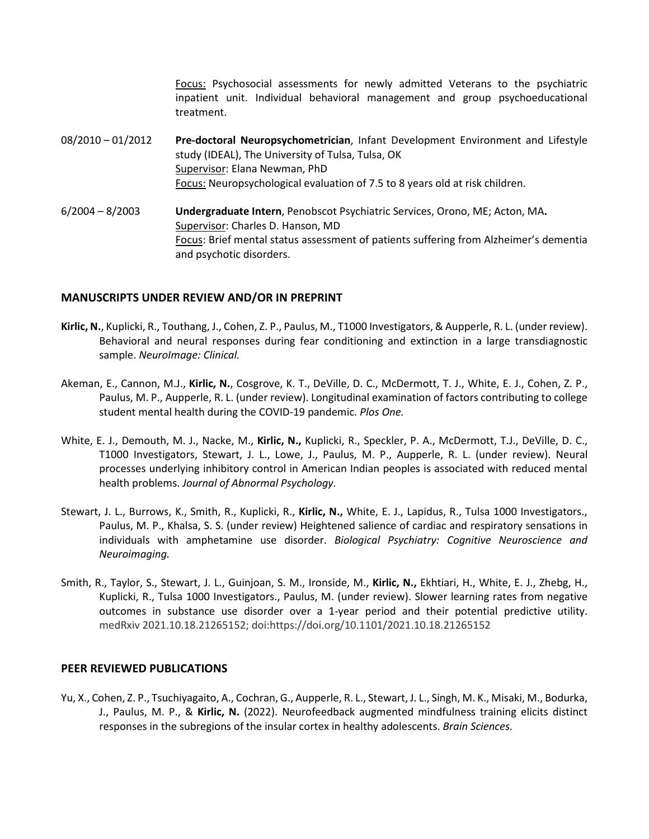Focus: Psychosocial assessments for newly admitted Veterans to the psychiatric inpatient unit. Individual behavioral management and group psychoeducational treatment.

08/2010 – 01/2012 **Pre-doctoral Neuropsychometrician**, Infant Development Environment and Lifestyle study (IDEAL), The University of Tulsa, Tulsa, OK Supervisor: Elana Newman, PhD Focus: Neuropsychological evaluation of 7.5 to 8 years old at risk children. 6/2004 – 8/2003 **Undergraduate Intern**, Penobscot Psychiatric Services, Orono, ME; Acton, MA**.**  Supervisor: Charles D. Hanson, MD

Focus: Brief mental status assessment of patients suffering from Alzheimer's dementia and psychotic disorders.

#### **MANUSCRIPTS UNDER REVIEW AND/OR IN PREPRINT**

- **Kirlic, N.**, Kuplicki, R., Touthang, J., Cohen, Z. P., Paulus, M., T1000 Investigators, & Aupperle, R. L. (under review). Behavioral and neural responses during fear conditioning and extinction in a large transdiagnostic sample. *NeuroImage: Clinical.*
- Akeman, E., Cannon, M.J., **Kirlic, N.**, Cosgrove, K. T., DeVille, D. C., McDermott, T. J., White, E. J., Cohen, Z. P., Paulus, M. P., Aupperle, R. L. (under review). Longitudinal examination of factors contributing to college student mental health during the COVID-19 pandemic. *Plos One.*
- White, E. J., Demouth, M. J., Nacke, M., **Kirlic, N.,** Kuplicki, R., Speckler, P. A., McDermott, T.J., DeVille, D. C., T1000 Investigators, Stewart, J. L., Lowe, J., Paulus, M. P., Aupperle, R. L. (under review). Neural processes underlying inhibitory control in American Indian peoples is associated with reduced mental health problems. *Journal of Abnormal Psychology.*
- Stewart, J. L., Burrows, K., Smith, R., Kuplicki, R., **Kirlic, N.,** White, E. J., Lapidus, R., Tulsa 1000 Investigators., Paulus, M. P., Khalsa, S. S. (under review) Heightened salience of cardiac and respiratory sensations in individuals with amphetamine use disorder. *Biological Psychiatry: Cognitive Neuroscience and Neuroimaging.*
- Smith, R., Taylor, S., Stewart, J. L., Guinjoan, S. M., Ironside, M., **Kirlic, N.,** Ekhtiari, H., White, E. J., Zhebg, H., Kuplicki, R., Tulsa 1000 Investigators., Paulus, M. (under review). Slower learning rates from negative outcomes in substance use disorder over a 1-year period and their potential predictive utility. medRxiv 2021.10.18.21265152; doi:https://doi.org/10.1101/2021.10.18.21265152

#### **PEER REVIEWED PUBLICATIONS**

Yu, X., Cohen, Z. P., Tsuchiyagaito, A., Cochran, G., Aupperle, R. L., Stewart, J. L., Singh, M. K., Misaki, M., Bodurka, J., Paulus, M. P., & **Kirlic, N.** (2022). Neurofeedback augmented mindfulness training elicits distinct responses in the subregions of the insular cortex in healthy adolescents. *Brain Sciences.*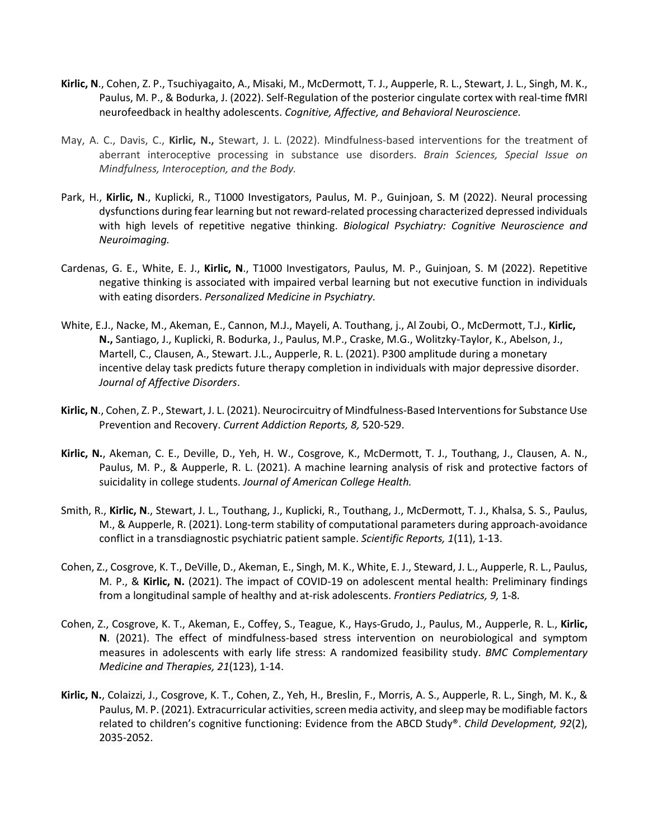- **Kirlic, N**., Cohen, Z. P., Tsuchiyagaito, A., Misaki, M., McDermott, T. J., Aupperle, R. L., Stewart, J. L., Singh, M. K., Paulus, M. P., & Bodurka, J. (2022). Self-Regulation of the posterior cingulate cortex with real-time fMRI neurofeedback in healthy adolescents. *Cognitive, Affective, and Behavioral Neuroscience.*
- May, A. C., Davis, C., **Kirlic, N.,** Stewart, J. L. (2022). Mindfulness-based interventions for the treatment of aberrant interoceptive processing in substance use disorders. *Brain Sciences, Special Issue on Mindfulness, Interoception, and the Body.*
- Park, H., Kirlic, N., Kuplicki, R., T1000 Investigators, Paulus, M. P., Guinjoan, S. M (2022). Neural processing dysfunctions during fear learning but not reward-related processing characterized depressed individuals with high levels of repetitive negative thinking. *Biological Psychiatry: Cognitive Neuroscience and Neuroimaging.*
- Cardenas, G. E., White, E. J., **Kirlic, N**., T1000 Investigators, Paulus, M. P., Guinjoan, S. M (2022). Repetitive negative thinking is associated with impaired verbal learning but not executive function in individuals with eating disorders. *Personalized Medicine in Psychiatry.*
- White, E.J., Nacke, M., Akeman, E., Cannon, M.J., Mayeli, A. Touthang, j., Al Zoubi, O., McDermott, T.J., **Kirlic, N.,** Santiago, J., Kuplicki, R. Bodurka, J., Paulus, M.P., Craske, M.G., Wolitzky-Taylor, K., Abelson, J., Martell, C., Clausen, A., Stewart. J.L., Aupperle, R. L. (2021). P300 amplitude during a monetary incentive delay task predicts future therapy completion in individuals with major depressive disorder. *Journal of Affective Disorders*.
- **Kirlic, N**., Cohen, Z. P., Stewart, J. L. (2021). Neurocircuitry of Mindfulness-Based Interventions for Substance Use Prevention and Recovery. *Current Addiction Reports, 8,* 520-529.
- **Kirlic, N.**, Akeman, C. E., Deville, D., Yeh, H. W., Cosgrove, K., McDermott, T. J., Touthang, J., Clausen, A. N., Paulus, M. P., & Aupperle, R. L. (2021). A machine learning analysis of risk and protective factors of suicidality in college students. *Journal of American College Health.*
- Smith, R., **Kirlic, N**., Stewart, J. L., Touthang, J., Kuplicki, R., Touthang, J., McDermott, T. J., Khalsa, S. S., Paulus, M., & Aupperle, R. (2021). Long-term stability of computational parameters during approach-avoidance conflict in a transdiagnostic psychiatric patient sample. *Scientific Reports, 1*(11), 1-13.
- Cohen, Z., Cosgrove, K. T., DeVille, D., Akeman, E., Singh, M. K., White, E. J., Steward, J. L., Aupperle, R. L., Paulus, M. P., & **Kirlic, N.** (2021). The impact of COVID-19 on adolescent mental health: Preliminary findings from a longitudinal sample of healthy and at-risk adolescents. *Frontiers Pediatrics, 9,* 1-8*.*
- Cohen, Z., Cosgrove, K. T., Akeman, E., Coffey, S., Teague, K., Hays-Grudo, J., Paulus, M., Aupperle, R. L., **Kirlic, N**. (2021). The effect of mindfulness-based stress intervention on neurobiological and symptom measures in adolescents with early life stress: A randomized feasibility study. *BMC Complementary Medicine and Therapies, 21*(123), 1-14.
- **Kirlic, N.**, Colaizzi, J., Cosgrove, K. T., Cohen, Z., Yeh, H., Breslin, F., Morris, A. S., Aupperle, R. L., Singh, M. K., & Paulus, M. P. (2021). Extracurricular activities, screen media activity, and sleep may be modifiable factors related to children's cognitive functioning: Evidence from the ABCD Study®. *Child Development, 92*(2), 2035-2052.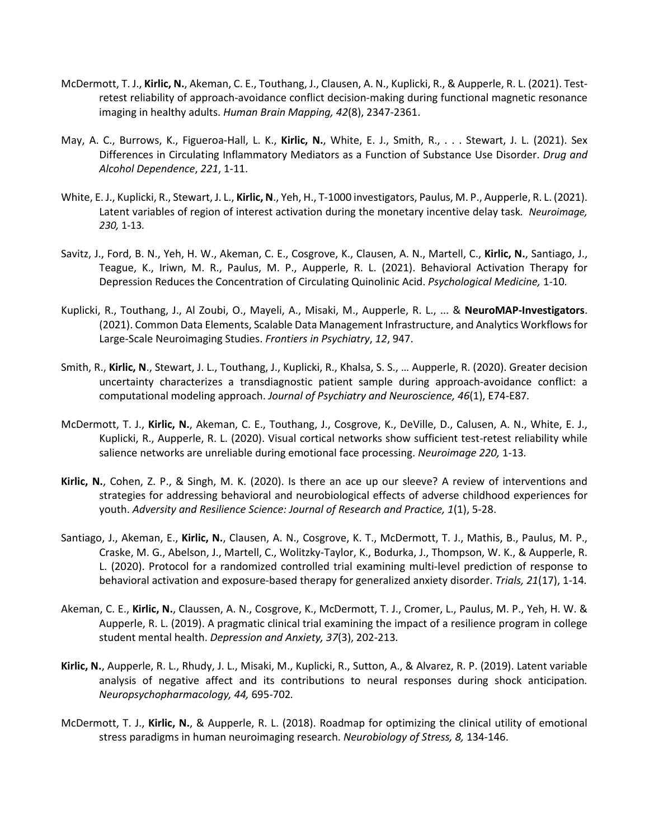- McDermott, T. J., **Kirlic, N.**, Akeman, C. E., Touthang, J., Clausen, A. N., Kuplicki, R., & Aupperle, R. L. (2021). Testretest reliability of approach-avoidance conflict decision-making during functional magnetic resonance imaging in healthy adults. *Human Brain Mapping, 42*(8), 2347-2361.
- May, A. C., Burrows, K., Figueroa-Hall, L. K., **Kirlic, N.**, White, E. J., Smith, R., . . . Stewart, J. L. (2021). Sex Differences in Circulating Inflammatory Mediators as a Function of Substance Use Disorder. *Drug and Alcohol Dependence*, *221*, 1-11.
- White, E. J., Kuplicki, R., Stewart, J. L., **Kirlic, N**., Yeh, H., T-1000 investigators, Paulus, M. P., Aupperle, R. L. (2021). Latent variables of region of interest activation during the monetary incentive delay task*. Neuroimage, 230,* 1-13*.*
- Savitz, J., Ford, B. N., Yeh, H. W., Akeman, C. E., Cosgrove, K., Clausen, A. N., Martell, C., **Kirlic, N.**, Santiago, J., Teague, K., Iriwn, M. R., Paulus, M. P., Aupperle, R. L. (2021). Behavioral Activation Therapy for Depression Reduces the Concentration of Circulating Quinolinic Acid. *Psychological Medicine,* 1-10*.*
- Kuplicki, R., Touthang, J., Al Zoubi, O., Mayeli, A., Misaki, M., Aupperle, R. L., ... & **NeuroMAP-Investigators**. (2021). Common Data Elements, Scalable Data Management Infrastructure, and Analytics Workflows for Large-Scale Neuroimaging Studies. *Frontiers in Psychiatry*, *12*, 947.
- Smith, R., **Kirlic, N**., Stewart, J. L., Touthang, J., Kuplicki, R., Khalsa, S. S., … Aupperle, R. (2020). Greater decision uncertainty characterizes a transdiagnostic patient sample during approach-avoidance conflict: a computational modeling approach. *Journal of Psychiatry and Neuroscience, 46*(1), E74-E87*.*
- McDermott, T. J., **Kirlic, N.**, Akeman, C. E., Touthang, J., Cosgrove, K., DeVille, D., Calusen, A. N., White, E. J., Kuplicki, R., Aupperle, R. L. (2020). Visual cortical networks show sufficient test-retest reliability while salience networks are unreliable during emotional face processing. *Neuroimage 220,* 1-13*.*
- **Kirlic, N.**, Cohen, Z. P., & Singh, M. K. (2020). Is there an ace up our sleeve? A review of interventions and strategies for addressing behavioral and neurobiological effects of adverse childhood experiences for youth. *Adversity and Resilience Science: Journal of Research and Practice, 1*(1), 5-28.
- Santiago, J., Akeman, E., **Kirlic, N.**, Clausen, A. N., Cosgrove, K. T., McDermott, T. J., Mathis, B., Paulus, M. P., Craske, M. G., Abelson, J., Martell, C., Wolitzky-Taylor, K., Bodurka, J., Thompson, W. K., & Aupperle, R. L. (2020). Protocol for a randomized controlled trial examining multi-level prediction of response to behavioral activation and exposure-based therapy for generalized anxiety disorder. *Trials, 21*(17), 1-14*.*
- Akeman, C. E., **Kirlic, N.**, Claussen, A. N., Cosgrove, K., McDermott, T. J., Cromer, L., Paulus, M. P., Yeh, H. W. & Aupperle, R. L. (2019). A pragmatic clinical trial examining the impact of a resilience program in college student mental health. *Depression and Anxiety, 37*(3), 202-213*.*
- **Kirlic, N.**, Aupperle, R. L., Rhudy, J. L., Misaki, M., Kuplicki, R., Sutton, A., & Alvarez, R. P. (2019). Latent variable analysis of negative affect and its contributions to neural responses during shock anticipation*. Neuropsychopharmacology, 44,* 695-702*.*
- McDermott, T. J., **Kirlic, N.**, & Aupperle, R. L. (2018). Roadmap for optimizing the clinical utility of emotional stress paradigms in human neuroimaging research. *Neurobiology of Stress, 8,* 134-146.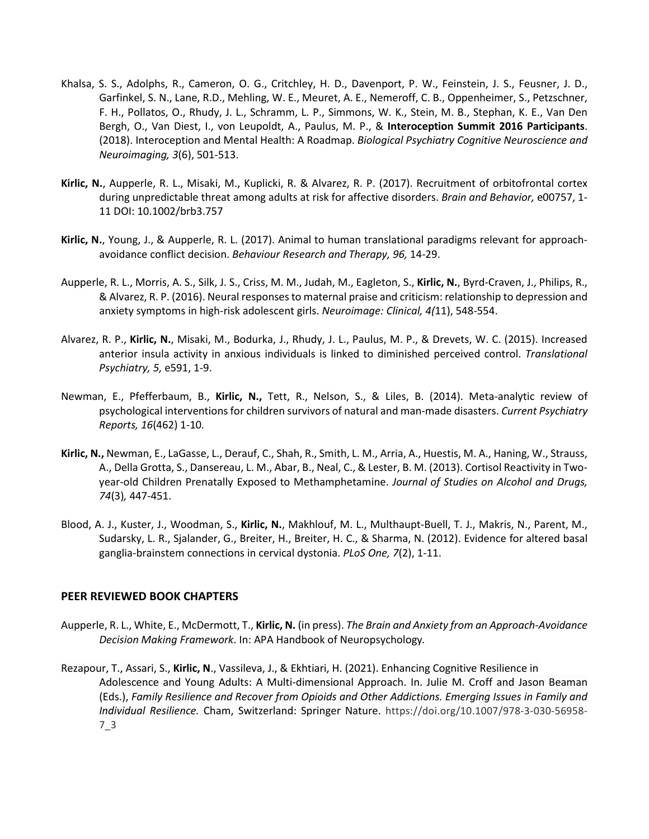- Khalsa, S. S., Adolphs, R., Cameron, O. G., Critchley, H. D., Davenport, P. W., Feinstein, J. S., Feusner, J. D., Garfinkel, S. N., Lane, R.D., Mehling, W. E., Meuret, A. E., Nemeroff, C. B., Oppenheimer, S., Petzschner, F. H., Pollatos, O., Rhudy, J. L., Schramm, L. P., Simmons, W. K., Stein, M. B., Stephan, K. E., Van Den Bergh, O., Van Diest, I., von Leupoldt, A., Paulus, M. P., & **Interoception Summit 2016 Participants**. (2018). Interoception and Mental Health: A Roadmap. *Biological Psychiatry Cognitive Neuroscience and Neuroimaging, 3*(6), 501-513.
- **Kirlic, N.**, Aupperle, R. L., Misaki, M., Kuplicki, R. & Alvarez, R. P. (2017). Recruitment of orbitofrontal cortex during unpredictable threat among adults at risk for affective disorders. *Brain and Behavior,* e00757, 1- 11 DOI: 10.1002/brb3.757
- **Kirlic, N.**, Young, J., & Aupperle, R. L. (2017). Animal to human translational paradigms relevant for approachavoidance conflict decision. *Behaviour Research and Therapy, 96,* 14-29.
- Aupperle, R. L., Morris, A. S., Silk, J. S., Criss, M. M., Judah, M., Eagleton, S., **Kirlic, N.**, Byrd-Craven, J., Philips, R., & Alvarez, R. P. (2016). Neural responses to maternal praise and criticism: relationship to depression and anxiety symptoms in high-risk adolescent girls. *Neuroimage: Clinical, 4(*11), 548-554.
- Alvarez, R. P., **Kirlic, N.**, Misaki, M., Bodurka, J., Rhudy, J. L., Paulus, M. P., & Drevets, W. C. (2015). Increased anterior insula activity in anxious individuals is linked to diminished perceived control. *Translational Psychiatry, 5,* e591, 1-9.
- Newman, E., Pfefferbaum, B., **Kirlic, N.,** Tett, R., Nelson, S., & Liles, B. (2014). Meta-analytic review of psychological interventions for children survivors of natural and man-made disasters. *Current Psychiatry Reports, 16*(462) 1-10*.*
- **Kirlic, N.,** Newman, E., LaGasse, L., Derauf, C., Shah, R., Smith, L. M., Arria, A., Huestis, M. A., Haning, W., Strauss, A., Della Grotta, S., Dansereau, L. M., Abar, B., Neal, C., & Lester, B. M. (2013). Cortisol Reactivity in Twoyear-old Children Prenatally Exposed to Methamphetamine. *Journal of Studies on Alcohol and Drugs, 74*(3)*,* 447-451.
- Blood, A. J., Kuster, J., Woodman, S., **Kirlic, N.**, Makhlouf, M. L., Multhaupt-Buell, T. J., Makris, N., Parent, M., Sudarsky, L. R., Sjalander, G., Breiter, H., Breiter, H. C., & Sharma, N. (2012). Evidence for altered basal ganglia-brainstem connections in cervical dystonia. *PLoS One, 7*(2), 1-11.

#### **PEER REVIEWED BOOK CHAPTERS**

- Aupperle, R. L., White, E., McDermott, T., **Kirlic, N.** (in press). *The Brain and Anxiety from an Approach-Avoidance Decision Making Framework*. In: APA Handbook of Neuropsychology*.*
- Rezapour, T., Assari, S., **Kirlic, N**., Vassileva, J., & Ekhtiari, H. (2021). Enhancing Cognitive Resilience in Adolescence and Young Adults: A Multi-dimensional Approach. In. Julie M. Croff and Jason Beaman (Eds.), *Family Resilience and Recover from Opioids and Other Addictions. Emerging Issues in Family and Individual Resilience.* Cham, Switzerland: Springer Nature. https://doi.org/10.1007/978-3-030-56958- 7\_3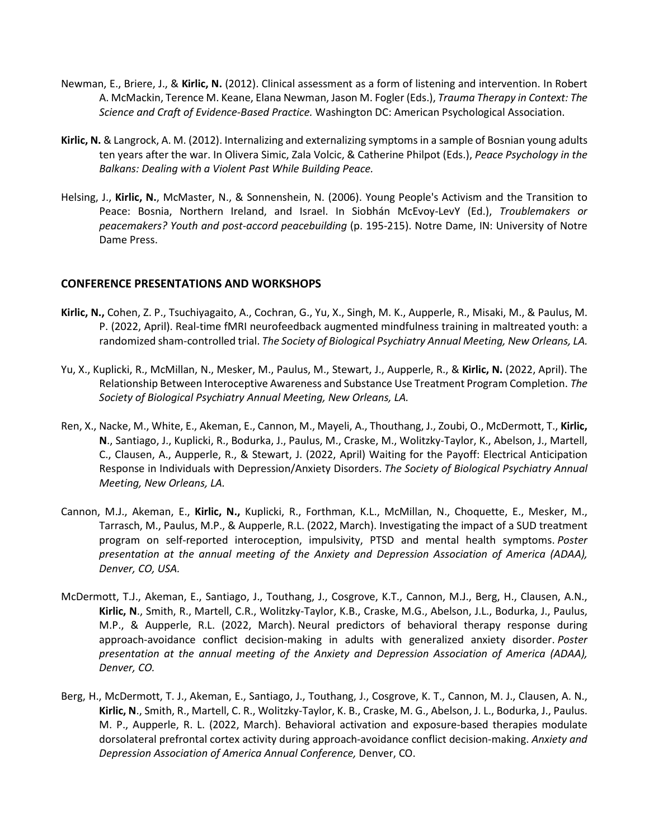- Newman, E., Briere, J., & **Kirlic, N.** (2012). Clinical assessment as a form of listening and intervention. In Robert A. McMackin, Terence M. Keane, Elana Newman, Jason M. Fogler (Eds.), *Trauma Therapy in Context: The Science and Craft of Evidence-Based Practice.* Washington DC: American Psychological Association.
- **Kirlic, N.** & Langrock, A. M. (2012). Internalizing and externalizing symptoms in a sample of Bosnian young adults ten years after the war. In Olivera Simic, Zala Volcic, & Catherine Philpot (Eds.), *Peace Psychology in the Balkans: Dealing with a Violent Past While Building Peace.*
- Helsing, J., **Kirlic, N.**, McMaster, N., & Sonnenshein, N. (2006). Young People's Activism and the Transition to Peace: Bosnia, Northern Ireland, and Israel. In Siobhán McEvoy-LevY (Ed.), *Troublemakers or peacemakers? Youth and post-accord peacebuilding* (p. 195-215). Notre Dame, IN: University of Notre Dame Press.

#### **CONFERENCE PRESENTATIONS AND WORKSHOPS**

- **Kirlic, N.,** Cohen, Z. P., Tsuchiyagaito, A., Cochran, G., Yu, X., Singh, M. K., Aupperle, R., Misaki, M., & Paulus, M. P. (2022, April). Real-time fMRI neurofeedback augmented mindfulness training in maltreated youth: a randomized sham-controlled trial. *The Society of Biological Psychiatry Annual Meeting, New Orleans, LA.*
- Yu, X., Kuplicki, R., McMillan, N., Mesker, M., Paulus, M., Stewart, J., Aupperle, R., & **Kirlic, N.** (2022, April). The Relationship Between Interoceptive Awareness and Substance Use Treatment Program Completion. *The Society of Biological Psychiatry Annual Meeting, New Orleans, LA.*
- Ren, X., Nacke, M., White, E., Akeman, E., Cannon, M., Mayeli, A., Thouthang, J., Zoubi, O., McDermott, T., **Kirlic, N**., Santiago, J., Kuplicki, R., Bodurka, J., Paulus, M., Craske, M., Wolitzky-Taylor, K., Abelson, J., Martell, C., Clausen, A., Aupperle, R., & Stewart, J. (2022, April) Waiting for the Payoff: Electrical Anticipation Response in Individuals with Depression/Anxiety Disorders. *The Society of Biological Psychiatry Annual Meeting, New Orleans, LA.*
- Cannon, M.J., Akeman, E., **Kirlic, N.,** Kuplicki, R., Forthman, K.L., McMillan, N., Choquette, E., Mesker, M., Tarrasch, M., Paulus, M.P., & Aupperle, R.L. (2022, March). Investigating the impact of a SUD treatment program on self-reported interoception, impulsivity, PTSD and mental health symptoms. *Poster presentation at the annual meeting of the Anxiety and Depression Association of America (ADAA), Denver, CO, USA.*
- McDermott, T.J., Akeman, E., Santiago, J., Touthang, J., Cosgrove, K.T., Cannon, M.J., Berg, H., Clausen, A.N., **Kirlic, N**., Smith, R., Martell, C.R., Wolitzky-Taylor, K.B., Craske, M.G., Abelson, J.L., Bodurka, J., Paulus, M.P., & Aupperle, R.L. (2022, March). Neural predictors of behavioral therapy response during approach-avoidance conflict decision-making in adults with generalized anxiety disorder. *Poster presentation at the annual meeting of the Anxiety and Depression Association of America (ADAA), Denver, CO.*
- Berg, H., McDermott, T. J., Akeman, E., Santiago, J., Touthang, J., Cosgrove, K. T., Cannon, M. J., Clausen, A. N., **Kirlic, N**., Smith, R., Martell, C. R., Wolitzky-Taylor, K. B., Craske, M. G., Abelson, J. L., Bodurka, J., Paulus. M. P., Aupperle, R. L. (2022, March). Behavioral activation and exposure-based therapies modulate dorsolateral prefrontal cortex activity during approach-avoidance conflict decision-making. *Anxiety and Depression Association of America Annual Conference,* Denver, CO.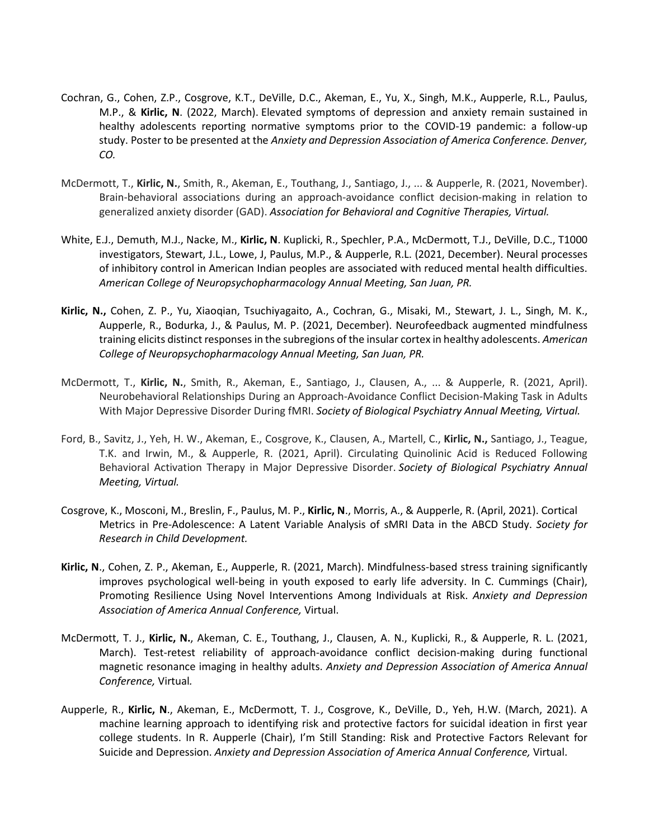- Cochran, G., Cohen, Z.P., Cosgrove, K.T., DeVille, D.C., Akeman, E., Yu, X., Singh, M.K., Aupperle, R.L., Paulus, M.P., & **Kirlic, N**. (2022, March). Elevated symptoms of depression and anxiety remain sustained in healthy adolescents reporting normative symptoms prior to the COVID-19 pandemic: a follow-up study. Poster to be presented at the *Anxiety and Depression Association of America Conference. Denver, CO.*
- McDermott, T., **Kirlic, N.**, Smith, R., Akeman, E., Touthang, J., Santiago, J., ... & Aupperle, R. (2021, November). Brain-behavioral associations during an approach-avoidance conflict decision-making in relation to generalized anxiety disorder (GAD). *Association for Behavioral and Cognitive Therapies, Virtual.*
- White, E.J., Demuth, M.J., Nacke, M., **Kirlic, N**. Kuplicki, R., Spechler, P.A., McDermott, T.J., DeVille, D.C., T1000 investigators, Stewart, J.L., Lowe, J, Paulus, M.P., & Aupperle, R.L. (2021, December). Neural processes of inhibitory control in American Indian peoples are associated with reduced mental health difficulties. *American College of Neuropsychopharmacology Annual Meeting, San Juan, PR.*
- **Kirlic, N.,** Cohen, Z. P., Yu, Xiaoqian, Tsuchiyagaito, A., Cochran, G., Misaki, M., Stewart, J. L., Singh, M. K., Aupperle, R., Bodurka, J., & Paulus, M. P. (2021, December). Neurofeedback augmented mindfulness training elicits distinct responses in the subregions of the insular cortex in healthy adolescents. *American College of Neuropsychopharmacology Annual Meeting, San Juan, PR.*
- McDermott, T., **Kirlic, N.**, Smith, R., Akeman, E., Santiago, J., Clausen, A., ... & Aupperle, R. (2021, April). Neurobehavioral Relationships During an Approach-Avoidance Conflict Decision-Making Task in Adults With Major Depressive Disorder During fMRI. *Society of Biological Psychiatry Annual Meeting, Virtual.*
- Ford, B., Savitz, J., Yeh, H. W., Akeman, E., Cosgrove, K., Clausen, A., Martell, C., **Kirlic, N.,** Santiago, J., Teague, T.K. and Irwin, M., & Aupperle, R. (2021, April). Circulating Quinolinic Acid is Reduced Following Behavioral Activation Therapy in Major Depressive Disorder. *Society of Biological Psychiatry Annual Meeting, Virtual.*
- Cosgrove, K., Mosconi, M., Breslin, F., Paulus, M. P., **Kirlic, N**., Morris, A., & Aupperle, R. (April, 2021). Cortical Metrics in Pre-Adolescence: A Latent Variable Analysis of sMRI Data in the ABCD Study. *Society for Research in Child Development.*
- **Kirlic, N**., Cohen, Z. P., Akeman, E., Aupperle, R. (2021, March). Mindfulness-based stress training significantly improves psychological well-being in youth exposed to early life adversity. In C. Cummings (Chair), Promoting Resilience Using Novel Interventions Among Individuals at Risk. *Anxiety and Depression Association of America Annual Conference,* Virtual.
- McDermott, T. J., **Kirlic, N.**, Akeman, C. E., Touthang, J., Clausen, A. N., Kuplicki, R., & Aupperle, R. L. (2021, March). Test-retest reliability of approach-avoidance conflict decision-making during functional magnetic resonance imaging in healthy adults. *Anxiety and Depression Association of America Annual Conference,* Virtual*.*
- Aupperle, R., **Kirlic, N**., Akeman, E., McDermott, T. J., Cosgrove, K., DeVille, D., Yeh, H.W. (March, 2021). A machine learning approach to identifying risk and protective factors for suicidal ideation in first year college students. In R. Aupperle (Chair), I'm Still Standing: Risk and Protective Factors Relevant for Suicide and Depression. *Anxiety and Depression Association of America Annual Conference,* Virtual.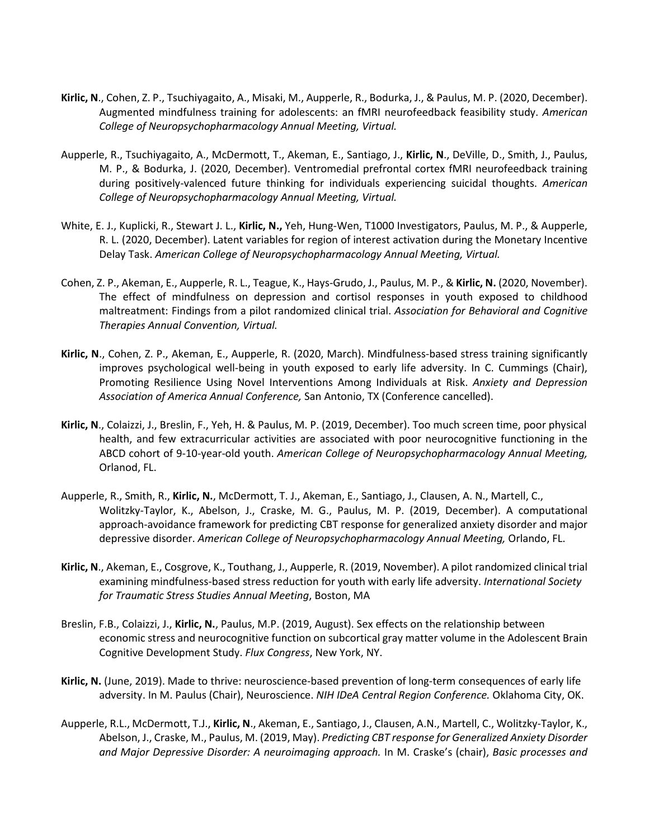- **Kirlic, N**., Cohen, Z. P., Tsuchiyagaito, A., Misaki, M., Aupperle, R., Bodurka, J., & Paulus, M. P. (2020, December). Augmented mindfulness training for adolescents: an fMRI neurofeedback feasibility study. *American College of Neuropsychopharmacology Annual Meeting, Virtual.*
- Aupperle, R., Tsuchiyagaito, A., McDermott, T., Akeman, E., Santiago, J., **Kirlic, N**., DeVille, D., Smith, J., Paulus, M. P., & Bodurka, J. (2020, December). Ventromedial prefrontal cortex fMRI neurofeedback training during positively-valenced future thinking for individuals experiencing suicidal thoughts. *American College of Neuropsychopharmacology Annual Meeting, Virtual.*
- White, E. J., Kuplicki, R., Stewart J. L., **Kirlic, N.,** Yeh, Hung-Wen, T1000 Investigators, Paulus, M. P., & Aupperle, R. L. (2020, December). Latent variables for region of interest activation during the Monetary Incentive Delay Task. *American College of Neuropsychopharmacology Annual Meeting, Virtual.*
- Cohen, Z. P., Akeman, E., Aupperle, R. L., Teague, K., Hays-Grudo, J., Paulus, M. P., & **Kirlic, N.** (2020, November). The effect of mindfulness on depression and cortisol responses in youth exposed to childhood maltreatment: Findings from a pilot randomized clinical trial. *Association for Behavioral and Cognitive Therapies Annual Convention, Virtual.*
- **Kirlic, N**., Cohen, Z. P., Akeman, E., Aupperle, R. (2020, March). Mindfulness-based stress training significantly improves psychological well-being in youth exposed to early life adversity. In C. Cummings (Chair), Promoting Resilience Using Novel Interventions Among Individuals at Risk. *Anxiety and Depression Association of America Annual Conference,* San Antonio, TX (Conference cancelled).
- **Kirlic, N**., Colaizzi, J., Breslin, F., Yeh, H. & Paulus, M. P. (2019, December). Too much screen time, poor physical health, and few extracurricular activities are associated with poor neurocognitive functioning in the ABCD cohort of 9-10-year-old youth. *American College of Neuropsychopharmacology Annual Meeting,*  Orlanod, FL.
- Aupperle, R., Smith, R., **Kirlic, N.**, McDermott, T. J., Akeman, E., Santiago, J., Clausen, A. N., Martell, C., Wolitzky-Taylor, K., Abelson, J., Craske, M. G., Paulus, M. P. (2019, December). A computational approach-avoidance framework for predicting CBT response for generalized anxiety disorder and major depressive disorder. *American College of Neuropsychopharmacology Annual Meeting,* Orlando, FL.
- **Kirlic, N**., Akeman, E., Cosgrove, K., Touthang, J., Aupperle, R. (2019, November). A pilot randomized clinical trial examining mindfulness-based stress reduction for youth with early life adversity. *International Society for Traumatic Stress Studies Annual Meeting*, Boston, MA
- Breslin, F.B., Colaizzi, J., **Kirlic, N.**, Paulus, M.P. (2019, August). Sex effects on the relationship between economic stress and neurocognitive function on subcortical gray matter volume in the Adolescent Brain Cognitive Development Study. *Flux Congress*, New York, NY.
- **Kirlic, N.** (June, 2019). Made to thrive: neuroscience-based prevention of long-term consequences of early life adversity. In M. Paulus (Chair), Neuroscience. *NIH IDeA Central Region Conference.* Oklahoma City, OK.
- Aupperle, R.L., McDermott, T.J., **Kirlic, N**., Akeman, E., Santiago, J., Clausen, A.N., Martell, C., Wolitzky-Taylor, K., Abelson, J., Craske, M., Paulus, M. (2019, May). *Predicting CBT response for Generalized Anxiety Disorder and Major Depressive Disorder: A neuroimaging approach.* In M. Craske's (chair), *Basic processes and*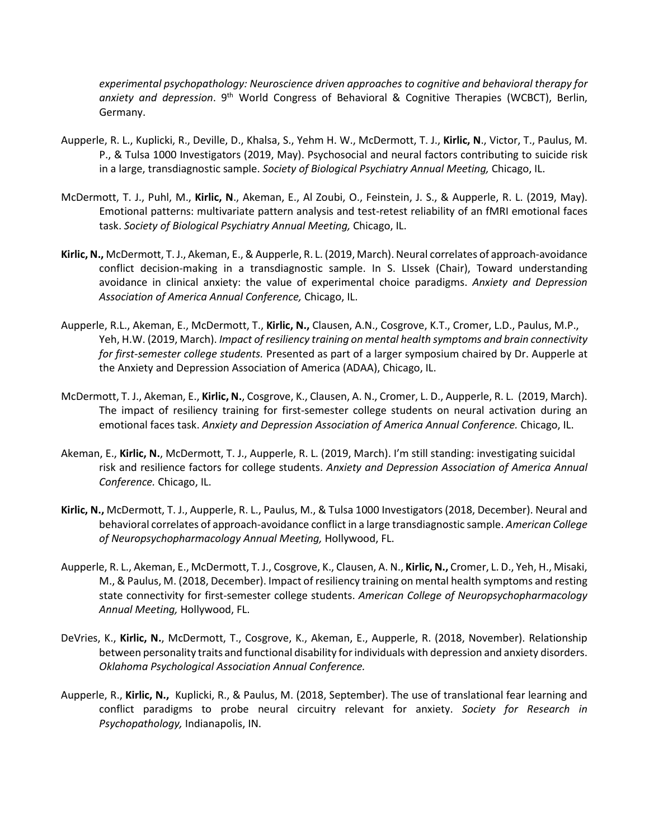*experimental psychopathology: Neuroscience driven approaches to cognitive and behavioral therapy for*  anxiety and depression. 9<sup>th</sup> World Congress of Behavioral & Cognitive Therapies (WCBCT), Berlin, Germany.

- Aupperle, R. L., Kuplicki, R., Deville, D., Khalsa, S., Yehm H. W., McDermott, T. J., **Kirlic, N**., Victor, T., Paulus, M. P., & Tulsa 1000 Investigators (2019, May). Psychosocial and neural factors contributing to suicide risk in a large, transdiagnostic sample. *Society of Biological Psychiatry Annual Meeting,* Chicago, IL.
- McDermott, T. J., Puhl, M., **Kirlic, N**., Akeman, E., Al Zoubi, O., Feinstein, J. S., & Aupperle, R. L. (2019, May). Emotional patterns: multivariate pattern analysis and test-retest reliability of an fMRI emotional faces task. *Society of Biological Psychiatry Annual Meeting,* Chicago, IL.
- **Kirlic, N.,** McDermott, T. J., Akeman, E., & Aupperle, R. L. (2019, March). Neural correlates of approach-avoidance conflict decision-making in a transdiagnostic sample. In S. LIssek (Chair), Toward understanding avoidance in clinical anxiety: the value of experimental choice paradigms. *Anxiety and Depression Association of America Annual Conference,* Chicago, IL.
- Aupperle, R.L., Akeman, E., McDermott, T., **Kirlic, N.,** Clausen, A.N., Cosgrove, K.T., Cromer, L.D., Paulus, M.P., Yeh, H.W. (2019, March). *Impact of resiliency training on mental health symptoms and brain connectivity for first-semester college students.* Presented as part of a larger symposium chaired by Dr. Aupperle at the Anxiety and Depression Association of America (ADAA), Chicago, IL.
- McDermott, T. J., Akeman, E., **Kirlic, N.**, Cosgrove, K., Clausen, A. N., Cromer, L. D., Aupperle, R. L. (2019, March). The impact of resiliency training for first-semester college students on neural activation during an emotional faces task. *Anxiety and Depression Association of America Annual Conference.* Chicago, IL.
- Akeman, E., **Kirlic, N.**, McDermott, T. J., Aupperle, R. L. (2019, March). I'm still standing: investigating suicidal risk and resilience factors for college students. *Anxiety and Depression Association of America Annual Conference.* Chicago, IL.
- **Kirlic, N.,** McDermott, T. J., Aupperle, R. L., Paulus, M., & Tulsa 1000 Investigators (2018, December). Neural and behavioral correlates of approach-avoidance conflict in a large transdiagnostic sample. *American College of Neuropsychopharmacology Annual Meeting,* Hollywood, FL.
- Aupperle, R. L., Akeman, E., McDermott, T. J., Cosgrove, K., Clausen, A. N., **Kirlic, N.,** Cromer, L. D., Yeh, H., Misaki, M., & Paulus, M. (2018, December). Impact of resiliency training on mental health symptoms and resting state connectivity for first-semester college students. *American College of Neuropsychopharmacology Annual Meeting,* Hollywood, FL.
- DeVries, K., **Kirlic, N.**, McDermott, T., Cosgrove, K., Akeman, E., Aupperle, R. (2018, November). Relationship between personality traits and functional disability for individuals with depression and anxiety disorders. *Oklahoma Psychological Association Annual Conference.*
- Aupperle, R., **Kirlic, N.,** Kuplicki, R., & Paulus, M. (2018, September). The use of translational fear learning and conflict paradigms to probe neural circuitry relevant for anxiety. *Society for Research in Psychopathology,* Indianapolis, IN.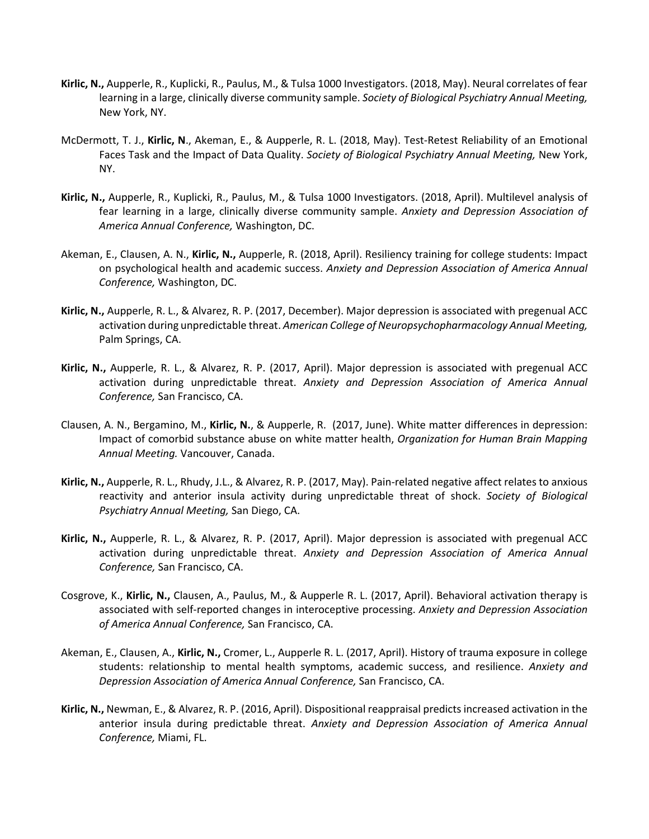- **Kirlic, N.,** Aupperle, R., Kuplicki, R., Paulus, M., & Tulsa 1000 Investigators. (2018, May). Neural correlates of fear learning in a large, clinically diverse community sample. *Society of Biological Psychiatry Annual Meeting,*  New York, NY.
- McDermott, T. J., **Kirlic, N**., Akeman, E., & Aupperle, R. L. (2018, May). Test-Retest Reliability of an Emotional Faces Task and the Impact of Data Quality. *Society of Biological Psychiatry Annual Meeting,* New York, NY.
- **Kirlic, N.,** Aupperle, R., Kuplicki, R., Paulus, M., & Tulsa 1000 Investigators. (2018, April). Multilevel analysis of fear learning in a large, clinically diverse community sample. *Anxiety and Depression Association of America Annual Conference,* Washington, DC.
- Akeman, E., Clausen, A. N., **Kirlic, N.,** Aupperle, R. (2018, April). Resiliency training for college students: Impact on psychological health and academic success. *Anxiety and Depression Association of America Annual Conference,* Washington, DC.
- **Kirlic, N.,** Aupperle, R. L., & Alvarez, R. P. (2017, December). Major depression is associated with pregenual ACC activation during unpredictable threat. *American College of Neuropsychopharmacology Annual Meeting,*  Palm Springs, CA.
- **Kirlic, N.,** Aupperle, R. L., & Alvarez, R. P. (2017, April). Major depression is associated with pregenual ACC activation during unpredictable threat. *Anxiety and Depression Association of America Annual Conference,* San Francisco, CA.
- Clausen, A. N., Bergamino, M., **Kirlic, N.**, & Aupperle, R. (2017, June). White matter differences in depression: Impact of comorbid substance abuse on white matter health, *Organization for Human Brain Mapping Annual Meeting.* Vancouver, Canada.
- **Kirlic, N.,** Aupperle, R. L., Rhudy, J.L., & Alvarez, R. P. (2017, May). Pain-related negative affect relates to anxious reactivity and anterior insula activity during unpredictable threat of shock. *Society of Biological Psychiatry Annual Meeting,* San Diego, CA.
- **Kirlic, N.,** Aupperle, R. L., & Alvarez, R. P. (2017, April). Major depression is associated with pregenual ACC activation during unpredictable threat. *Anxiety and Depression Association of America Annual Conference,* San Francisco, CA.
- Cosgrove, K., **Kirlic, N.,** Clausen, A., Paulus, M., & Aupperle R. L. (2017, April). Behavioral activation therapy is associated with self-reported changes in interoceptive processing. *Anxiety and Depression Association of America Annual Conference,* San Francisco, CA.
- Akeman, E., Clausen, A., **Kirlic, N.,** Cromer, L., Aupperle R. L. (2017, April). History of trauma exposure in college students: relationship to mental health symptoms, academic success, and resilience. *Anxiety and Depression Association of America Annual Conference,* San Francisco, CA.
- **Kirlic, N.,** Newman, E., & Alvarez, R. P. (2016, April). Dispositional reappraisal predicts increased activation in the anterior insula during predictable threat. *Anxiety and Depression Association of America Annual Conference,* Miami, FL.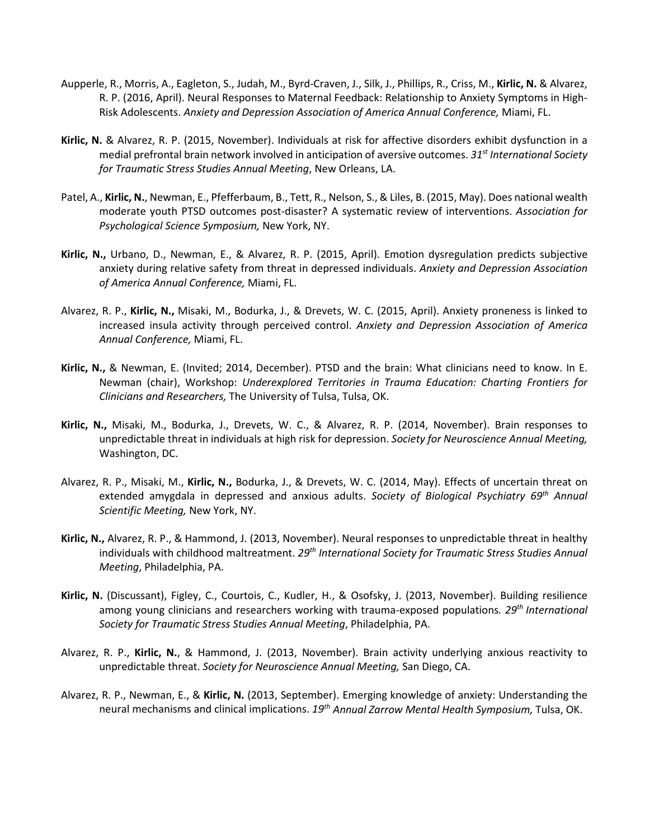- Aupperle, R., Morris, A., Eagleton, S., Judah, M., Byrd-Craven, J., Silk, J., Phillips, R., Criss, M., **Kirlic, N.** & Alvarez, R. P. (2016, April). Neural Responses to Maternal Feedback: Relationship to Anxiety Symptoms in High-Risk Adolescents. *Anxiety and Depression Association of America Annual Conference,* Miami, FL.
- **Kirlic, N.** & Alvarez, R. P. (2015, November). Individuals at risk for affective disorders exhibit dysfunction in a medial prefrontal brain network involved in anticipation of aversive outcomes. *31st International Society for Traumatic Stress Studies Annual Meeting*, New Orleans, LA.
- Patel, A., **Kirlic, N.**, Newman, E., Pfefferbaum, B., Tett, R., Nelson, S., & Liles, B. (2015, May). Does national wealth moderate youth PTSD outcomes post-disaster? A systematic review of interventions. *Association for Psychological Science Symposium,* New York, NY.
- **Kirlic, N.,** Urbano, D., Newman, E., & Alvarez, R. P. (2015, April). Emotion dysregulation predicts subjective anxiety during relative safety from threat in depressed individuals. *Anxiety and Depression Association of America Annual Conference,* Miami, FL.
- Alvarez, R. P., **Kirlic, N.,** Misaki, M., Bodurka, J., & Drevets, W. C. (2015, April). Anxiety proneness is linked to increased insula activity through perceived control. *Anxiety and Depression Association of America Annual Conference,* Miami, FL.
- **Kirlic, N.,** & Newman, E. (Invited; 2014, December). PTSD and the brain: What clinicians need to know. In E. Newman (chair), Workshop: *Underexplored Territories in Trauma Education: Charting Frontiers for Clinicians and Researchers,* The University of Tulsa, Tulsa, OK.
- **Kirlic, N.,** Misaki, M., Bodurka, J., Drevets, W. C., & Alvarez, R. P. (2014, November). Brain responses to unpredictable threat in individuals at high risk for depression. *Society for Neuroscience Annual Meeting,*  Washington, DC.
- Alvarez, R. P., Misaki, M., **Kirlic, N.,** Bodurka, J., & Drevets, W. C. (2014, May). Effects of uncertain threat on extended amygdala in depressed and anxious adults. *Society of Biological Psychiatry 69th Annual Scientific Meeting,* New York, NY.
- **Kirlic, N.,** Alvarez, R. P., & Hammond, J. (2013, November). Neural responses to unpredictable threat in healthy individuals with childhood maltreatment. *29th International Society for Traumatic Stress Studies Annual Meeting*, Philadelphia, PA.
- **Kirlic, N.** (Discussant), Figley, C., Courtois, C., Kudler, H., & Osofsky, J. (2013, November). Building resilience among young clinicians and researchers working with trauma-exposed populations*. 29th International Society for Traumatic Stress Studies Annual Meeting*, Philadelphia, PA.
- Alvarez, R. P., **Kirlic, N.**, & Hammond, J. (2013, November). Brain activity underlying anxious reactivity to unpredictable threat. *Society for Neuroscience Annual Meeting,* San Diego, CA.
- Alvarez, R. P., Newman, E., & **Kirlic, N.** (2013, September). Emerging knowledge of anxiety: Understanding the neural mechanisms and clinical implications. *19th Annual Zarrow Mental Health Symposium,* Tulsa, OK.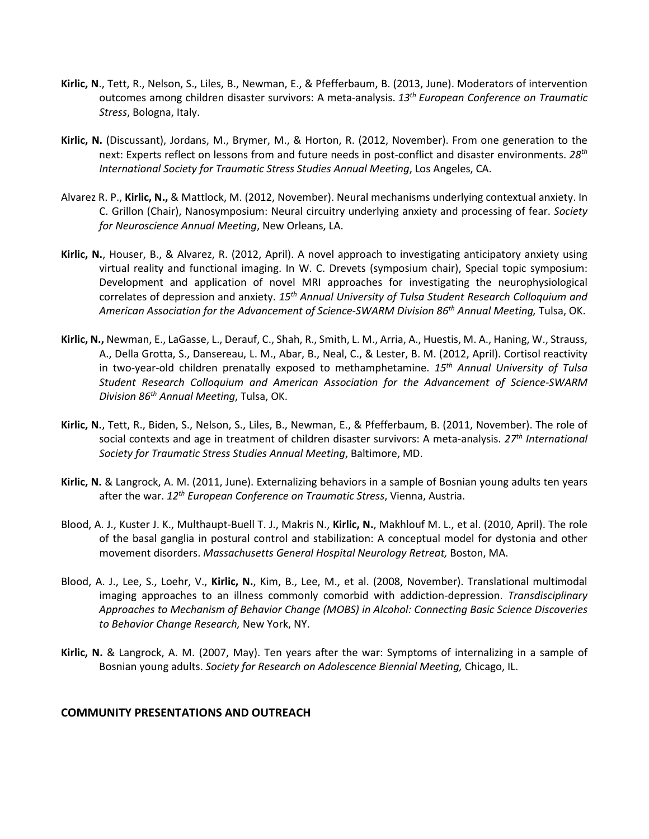- **Kirlic, N**., Tett, R., Nelson, S., Liles, B., Newman, E., & Pfefferbaum, B. (2013, June). Moderators of intervention outcomes among children disaster survivors: A meta-analysis. *13th European Conference on Traumatic Stress*, Bologna, Italy.
- **Kirlic, N.** (Discussant), Jordans, M., Brymer, M., & Horton, R. (2012, November). From one generation to the next: Experts reflect on lessons from and future needs in post-conflict and disaster environments. *28th International Society for Traumatic Stress Studies Annual Meeting*, Los Angeles, CA.
- Alvarez R. P., **Kirlic, N.,** & Mattlock, M. (2012, November). Neural mechanisms underlying contextual anxiety. In C. Grillon (Chair), Nanosymposium: Neural circuitry underlying anxiety and processing of fear. *Society for Neuroscience Annual Meeting*, New Orleans, LA.
- **Kirlic, N.**, Houser, B., & Alvarez, R. (2012, April). A novel approach to investigating anticipatory anxiety using virtual reality and functional imaging. In W. C. Drevets (symposium chair), Special topic symposium: Development and application of novel MRI approaches for investigating the neurophysiological correlates of depression and anxiety. *15th Annual University of Tulsa Student Research Colloquium and American Association for the Advancement of Science-SWARM Division 86th Annual Meeting,* Tulsa, OK.
- **Kirlic, N.,** Newman, E., LaGasse, L., Derauf, C., Shah, R., Smith, L. M., Arria, A., Huestis, M. A., Haning, W., Strauss, A., Della Grotta, S., Dansereau, L. M., Abar, B., Neal, C., & Lester, B. M. (2012, April). Cortisol reactivity in two-year-old children prenatally exposed to methamphetamine. *15th Annual University of Tulsa Student Research Colloquium and American Association for the Advancement of Science-SWARM Division 86th Annual Meeting*, Tulsa, OK.
- **Kirlic, N.**, Tett, R., Biden, S., Nelson, S., Liles, B., Newman, E., & Pfefferbaum, B. (2011, November). The role of social contexts and age in treatment of children disaster survivors: A meta-analysis. *27th International Society for Traumatic Stress Studies Annual Meeting*, Baltimore, MD.
- **Kirlic, N.** & Langrock, A. M. (2011, June). Externalizing behaviors in a sample of Bosnian young adults ten years after the war. *12th European Conference on Traumatic Stress*, Vienna, Austria.
- Blood, A. J., Kuster J. K., Multhaupt-Buell T. J., Makris N., **Kirlic, N.**, Makhlouf M. L., et al. (2010, April). The role of the basal ganglia in postural control and stabilization: A conceptual model for dystonia and other movement disorders. *Massachusetts General Hospital Neurology Retreat,* Boston, MA.
- Blood, A. J., Lee, S., Loehr, V., **Kirlic, N.**, Kim, B., Lee, M., et al. (2008, November). Translational multimodal imaging approaches to an illness commonly comorbid with addiction-depression. *Transdisciplinary Approaches to Mechanism of Behavior Change (MOBS) in Alcohol: Connecting Basic Science Discoveries to Behavior Change Research,* New York, NY.
- **Kirlic, N.** & Langrock, A. M. (2007, May). Ten years after the war: Symptoms of internalizing in a sample of Bosnian young adults. *Society for Research on Adolescence Biennial Meeting,* Chicago, IL.

#### **COMMUNITY PRESENTATIONS AND OUTREACH**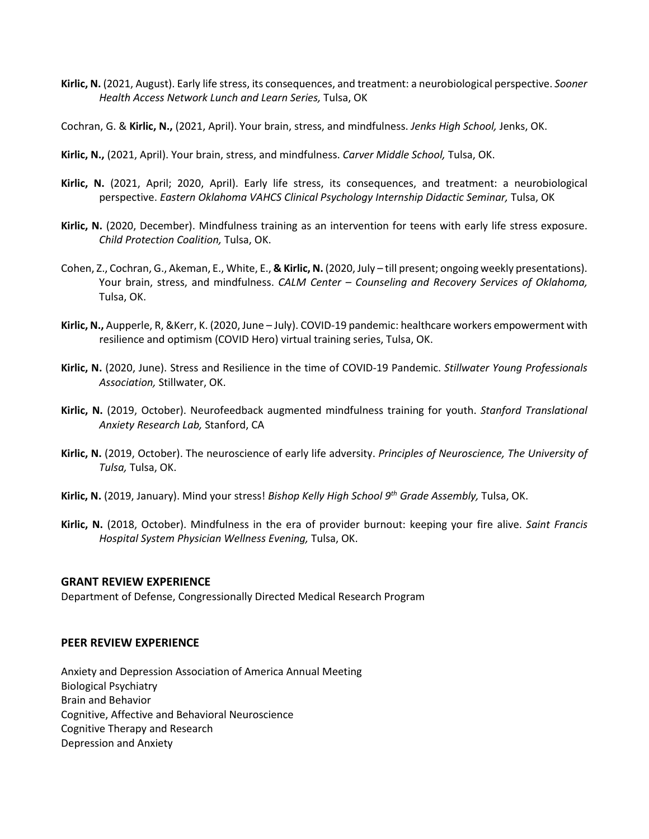- **Kirlic, N.** (2021, August). Early life stress, its consequences, and treatment: a neurobiological perspective. *Sooner Health Access Network Lunch and Learn Series,* Tulsa, OK
- Cochran, G. & **Kirlic, N.,** (2021, April). Your brain, stress, and mindfulness. *Jenks High School,* Jenks, OK.
- **Kirlic, N.,** (2021, April). Your brain, stress, and mindfulness. *Carver Middle School,* Tulsa, OK.
- **Kirlic, N.** (2021, April; 2020, April). Early life stress, its consequences, and treatment: a neurobiological perspective. *Eastern Oklahoma VAHCS Clinical Psychology Internship Didactic Seminar,* Tulsa, OK
- **Kirlic, N.** (2020, December). Mindfulness training as an intervention for teens with early life stress exposure. *Child Protection Coalition,* Tulsa, OK.
- Cohen, Z., Cochran, G., Akeman, E., White, E., **& Kirlic, N.** (2020, July till present; ongoing weekly presentations). Your brain, stress, and mindfulness. *CALM Center – Counseling and Recovery Services of Oklahoma,*  Tulsa, OK.
- **Kirlic, N.,** Aupperle, R, &Kerr, K. (2020, June July). COVID-19 pandemic: healthcare workers empowerment with resilience and optimism (COVID Hero) virtual training series, Tulsa, OK.
- **Kirlic, N.** (2020, June). Stress and Resilience in the time of COVID-19 Pandemic. *Stillwater Young Professionals Association,* Stillwater, OK.
- **Kirlic, N.** (2019, October). Neurofeedback augmented mindfulness training for youth. *Stanford Translational Anxiety Research Lab,* Stanford, CA
- **Kirlic, N.** (2019, October). The neuroscience of early life adversity. *Principles of Neuroscience, The University of Tulsa,* Tulsa, OK.
- **Kirlic, N.** (2019, January). Mind your stress! *Bishop Kelly High School 9th Grade Assembly,* Tulsa, OK.
- **Kirlic, N.** (2018, October). Mindfulness in the era of provider burnout: keeping your fire alive. *Saint Francis Hospital System Physician Wellness Evening,* Tulsa, OK.

#### **GRANT REVIEW EXPERIENCE**

Department of Defense, Congressionally Directed Medical Research Program

#### **PEER REVIEW EXPERIENCE**

Anxiety and Depression Association of America Annual Meeting Biological Psychiatry Brain and Behavior Cognitive, Affective and Behavioral Neuroscience Cognitive Therapy and Research Depression and Anxiety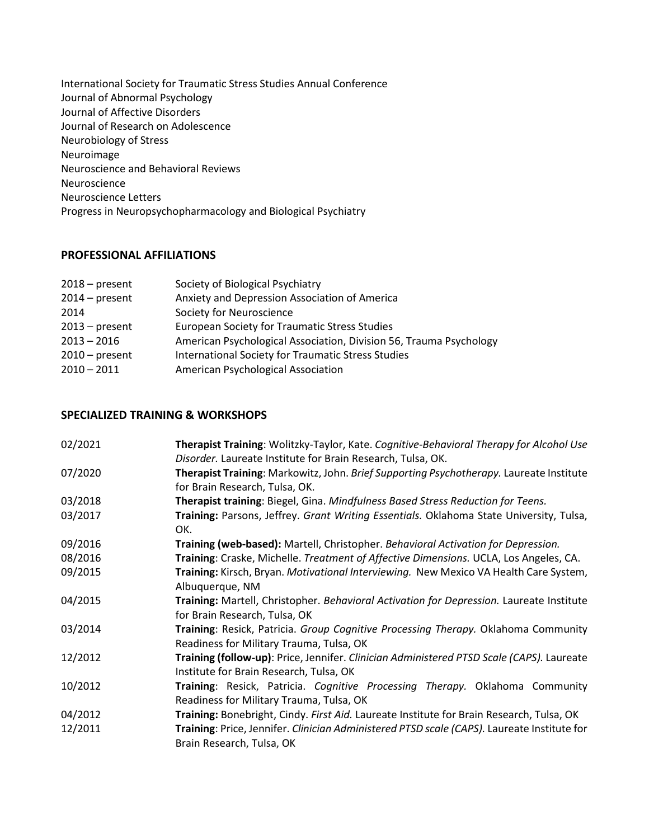International Society for Traumatic Stress Studies Annual Conference Journal of Abnormal Psychology Journal of Affective Disorders Journal of Research on Adolescence Neurobiology of Stress Neuroimage Neuroscience and Behavioral Reviews Neuroscience Neuroscience Letters Progress in Neuropsychopharmacology and Biological Psychiatry

#### **PROFESSIONAL AFFILIATIONS**

| $2018$ – present | Society of Biological Psychiatry                                   |
|------------------|--------------------------------------------------------------------|
| $2014$ – present | Anxiety and Depression Association of America                      |
| 2014             | Society for Neuroscience                                           |
| $2013$ – present | <b>European Society for Traumatic Stress Studies</b>               |
| $2013 - 2016$    | American Psychological Association, Division 56, Trauma Psychology |
| $2010$ – present | International Society for Traumatic Stress Studies                 |
| $2010 - 2011$    | American Psychological Association                                 |
|                  |                                                                    |

## **SPECIALIZED TRAINING & WORKSHOPS**

| 02/2021 | Therapist Training: Wolitzky-Taylor, Kate. Cognitive-Behavioral Therapy for Alcohol Use<br>Disorder. Laureate Institute for Brain Research, Tulsa, OK. |
|---------|--------------------------------------------------------------------------------------------------------------------------------------------------------|
| 07/2020 | Therapist Training: Markowitz, John. Brief Supporting Psychotherapy. Laureate Institute<br>for Brain Research, Tulsa, OK.                              |
| 03/2018 | Therapist training: Biegel, Gina. Mindfulness Based Stress Reduction for Teens.                                                                        |
| 03/2017 | Training: Parsons, Jeffrey. Grant Writing Essentials. Oklahoma State University, Tulsa,<br>OK.                                                         |
| 09/2016 | Training (web-based): Martell, Christopher. Behavioral Activation for Depression.                                                                      |
| 08/2016 | Training: Craske, Michelle. Treatment of Affective Dimensions. UCLA, Los Angeles, CA.                                                                  |
| 09/2015 | Training: Kirsch, Bryan. Motivational Interviewing. New Mexico VA Health Care System,<br>Albuquerque, NM                                               |
| 04/2015 | Training: Martell, Christopher. Behavioral Activation for Depression. Laureate Institute<br>for Brain Research, Tulsa, OK                              |
| 03/2014 | Training: Resick, Patricia. Group Cognitive Processing Therapy. Oklahoma Community<br>Readiness for Military Trauma, Tulsa, OK                         |
| 12/2012 | Training (follow-up): Price, Jennifer. Clinician Administered PTSD Scale (CAPS). Laureate<br>Institute for Brain Research, Tulsa, OK                   |
| 10/2012 | Training: Resick, Patricia. Cognitive Processing Therapy. Oklahoma Community<br>Readiness for Military Trauma, Tulsa, OK                               |
| 04/2012 | Training: Bonebright, Cindy. First Aid. Laureate Institute for Brain Research, Tulsa, OK                                                               |
| 12/2011 | Training: Price, Jennifer. Clinician Administered PTSD scale (CAPS). Laureate Institute for<br>Brain Research, Tulsa, OK                               |